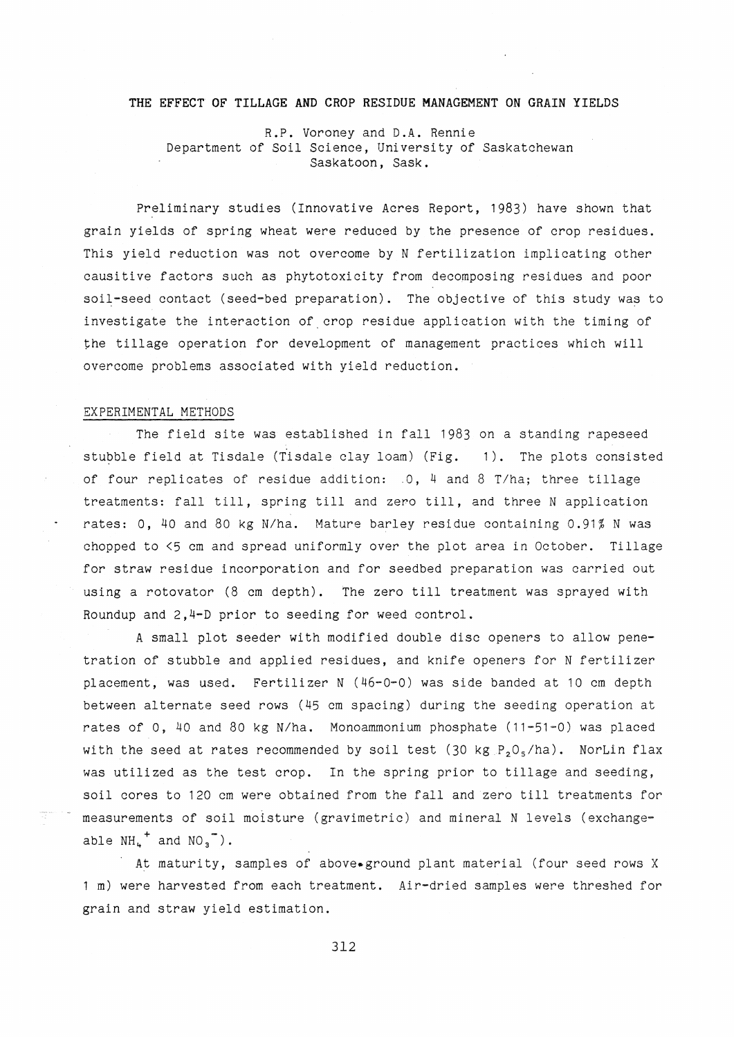### **THE EFFECT OF TILLAGE AND CROP RESIDUE MANAGEMENT ON GRAIN YIELDS**

R.P. Voroney and D.A. Rennie Department of Soil Science, University of Saskatchewan Saskatoon, Sask.

Preliminary studies (Innovative Acres Report, 1983) have shown that grain yields of spring wheat were reduced by the presence of crop residues. This yield reduction was not overcome by N fertilization implicating other causitive factors such as phytotoxicity from decomposing residues and poor soil-seed contact (seed-bed preparation). The objective of this study was to investigate the interaction of crop residue application with the timing of the tillage operation for development of management practices which will overcome problems associated with yield reduction.

#### EXPERIMENTAL METHODS

The field site was established in fall 1983 on a standing rapeseed stubble field at Tisdale (Tisdale clay loam) (Fig. 1). The plots consisted of four replicates of residue addition: 0, 4 and 8 T/ha; three tillage treatments: fall till, spring till and zero till, and three N application rates: 0, 40 and 80 kg N/ha. Mature barley residue containing 0.91% N was chopped to <5 em and spread uniformly over the plot area in October. Tillage for straw residue incorporation and for seedbed preparation was carried out using a rotovator (8 em depth). The zero till treatment was sprayed with Roundup and 2,4-D prior to seeding for weed control.

A small plot seeder with modified double disc openers to allow penetration of stubble and applied residues, and knife openers for N fertilizer placement, was used. Fertilizer N (46-0-0) was side banded at 10 em depth between alternate seed rows (45 em spacing) during the seeding operation at rates of 0, 40 and 80 kg N/ha. Monoammonium phosphate (11-51-0) was placed with the seed at rates recommended by soil test (30 kg  $P_2O_5/ha$ ). NorLin flax was utilized as the test crop. In the spring prior to tillage and seeding, soil cores to 120 em were obtained from the fall and zero till treatments for measurements of soil moisture (gravimetric) and mineral N levels (exchangeable  $NH_{\mu}$ <sup>+</sup> and  $NO_{3}$ <sup>-</sup>).

At maturity, samples of above.ground plant material (four seed rows X 1 m) were harvested from each treatment. Air-dried samples were threshed for grain and straw yield estimation.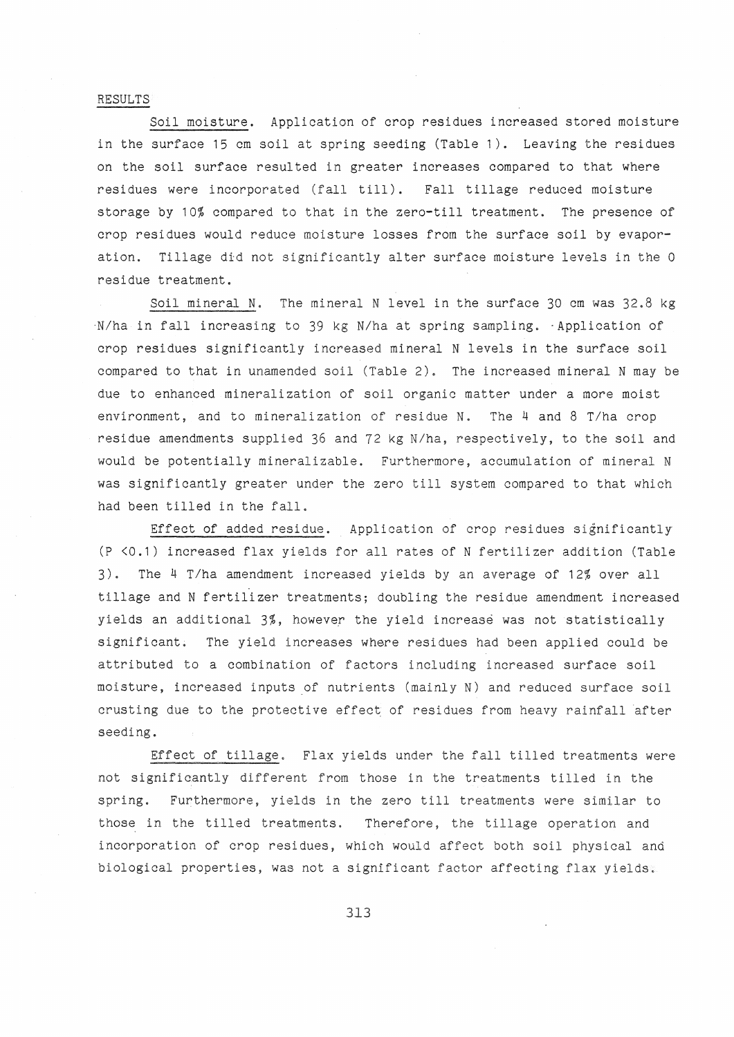#### RESULTS

Soil moisture. Application of crop residues increased stored moisture in the surface 15 cm soil at spring seeding (Table 1). Leaving the residues on the soil surface resulted in greater increases compared to that where residues were incorporated (fall till). Fall tillage reduced moisture storage by 10% compared to that in the zero-till treatment. The presence of crop residues would reduce moisture losses from the surface soil by evaporation. Tillage did not significantly alter surface moisture levels in the 0 residue treatment.

Soil mineral N. The mineral N level in the surface 30 em was 32.8 kg N/ha in fall increasing to 39 kg N/ha at spring sampling. ·Application of crop residues significantly increased mineral N levels in the surface soil compared to that in unamended soil (Table 2). The increased mineral N may be due to enhanced mineralization of soil organic matter under a more moist environment, and to mineralization of residue N. The 4 and 8 T/ha crop residue amendments supplied 36 and 72 kg N/ha, respectively, to the soil and would be potentially mineralizable. Furthermore, accumulation of mineral N was significantly greater under the zero till system compared to that which had been tilled in the fall.

Effect of added residue. Application of crop residues significantly (P <0.1) increased flax yields for all rates of N fertilizer addition (Table 3). The 4 T/ha amendment increased yields by an average of 12% over all tillage and N fertilizer treatments; doubling the residue amendment increased yields an additional 3%, however the yield increase was not statistically significant. The yield increases where residues had been applied could be attributed to a combination of factors including increased surface soil moisture, increased inputs of nutrients (mainly N) and reduced surface soil crusting due to the protective effect of residues from heavy rainfall after seeding.

Effect of tillage. Flax yields under the fall tilled treatments were not significantly different from those in the treatments tilled in the spring, Furthermore, yields in the zero till treatments were similar to those in the tilled treatments. Therefore, the tillage operation and incorporation of crop residues, which would affect both soil physical and biological properties, was not a significant factor affecting flax yields.

313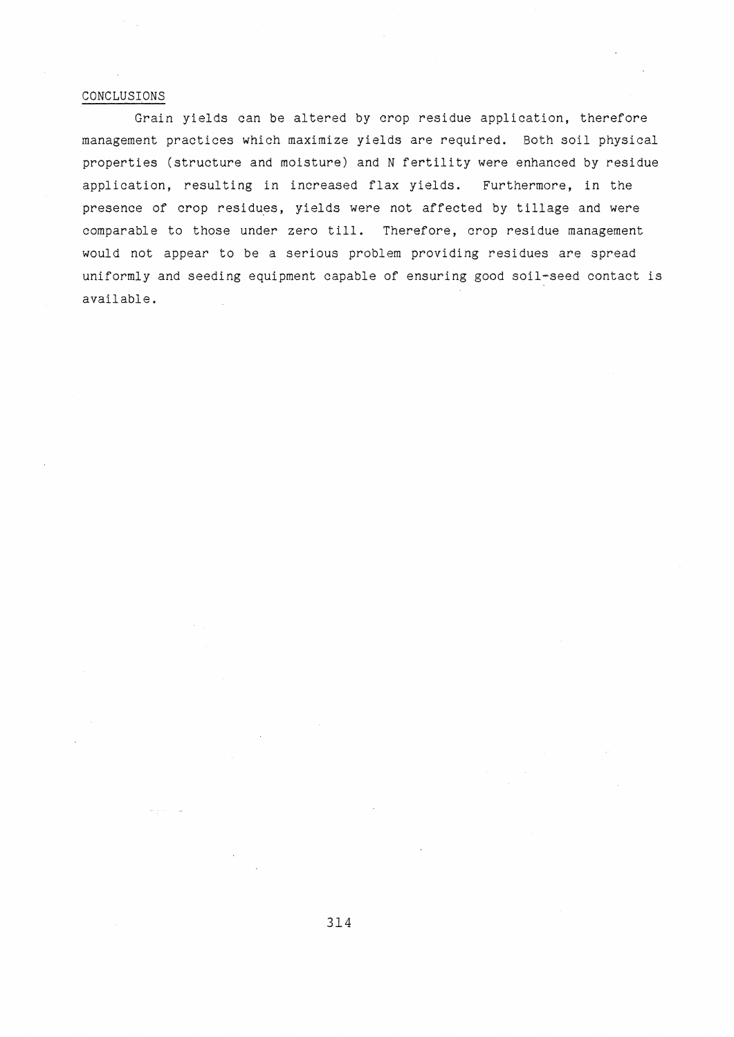## CONCLUSIONS

Grain yields can be altered by crop residue application, therefore management practices which maximize yields are required. Both soil physical properties (structure and moisture) and N fertility were enhanced by residue application, resulting in increased flax yields. Furthermore, in the presence of crop residues, yields were not affected by tillage and were comparable to those under zero till. Therefore, crop residue management would not appear to be a serious problem providing residues are spread uniformly and seeding equipment capable of ensuring good soil-seed contact is available.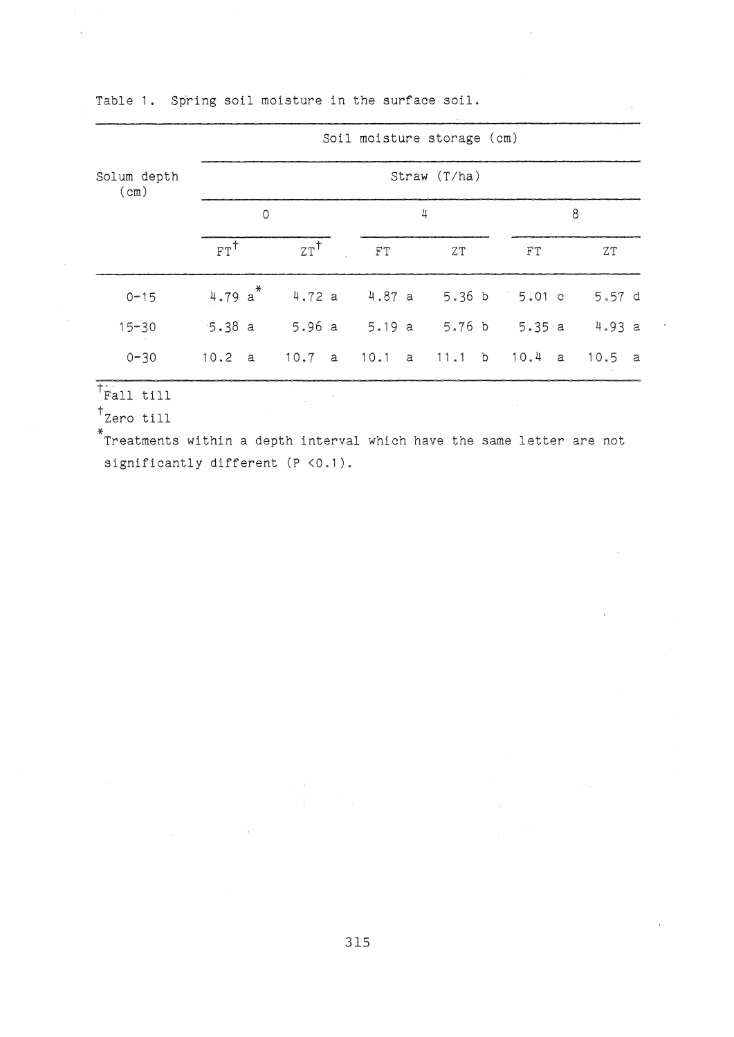|                              |                |         |                             |  |            |   | Soil moisture storage (cm)                   |   |    |  |        |  |
|------------------------------|----------------|---------|-----------------------------|--|------------|---|----------------------------------------------|---|----|--|--------|--|
| Solum depth<br>$($ cm $)$    |                |         |                             |  |            |   | Straw (T/ha)                                 |   |    |  |        |  |
|                              |                | $\circ$ |                             |  |            | 4 |                                              | 8 |    |  |        |  |
|                              | $FT^{\dagger}$ |         | $z_{\text{T}}$ <sup>+</sup> |  | ${\tt FT}$ |   | ZT                                           |   | FT |  | ΖT     |  |
| $0 - 15$                     | 4.79 $a^*$     |         |                             |  |            |   | $4.72$ a $4.87$ a 5.36 b 5.01 c              |   |    |  | 5.57 d |  |
| $15 - 30$                    |                |         |                             |  |            |   | $5.38 a$ $5.96 a$ $5.19 a$ $5.76 b$ $5.35 a$ |   |    |  | 4.93 a |  |
| $0 - 30$                     | 10.2 a         |         |                             |  |            |   | 10.7 a 10.1 a 11.1 b 10.4 a 10.5 a           |   |    |  |        |  |
| $\bar{t}_{\text{Fall till}}$ |                |         |                             |  |            |   |                                              |   |    |  |        |  |

Table 1. Spring soil moisture in the surface soil.

 $'$ Fall till

tzero till

\* Treatments within a depth interval which have the same letter are not significantly different (P <0.1).

 $\sim$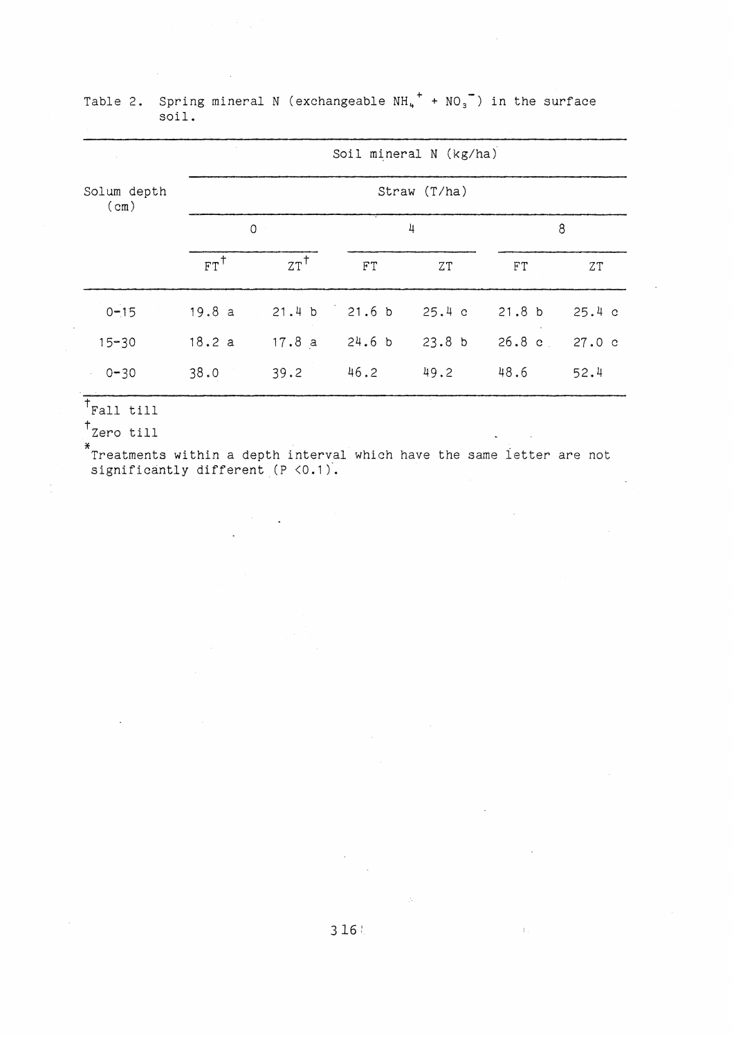|                           |                |                   |        | Soil mineral N (kg/ha) |                  |       |  |  |  |  |  |
|---------------------------|----------------|-------------------|--------|------------------------|------------------|-------|--|--|--|--|--|
| Solum depth<br>$($ cm $)$ | Straw (T/ha)   |                   |        |                        |                  |       |  |  |  |  |  |
|                           | $\circ$        |                   |        | 4                      | 8                |       |  |  |  |  |  |
|                           | $FT^{\dagger}$ | $z\tau^{\dagger}$ | FT     | ZT                     | FT               | ZT    |  |  |  |  |  |
| $0 - 15$                  | 19.8a          | 21.4 b            | 21.6 b | 25.4c                  | 21.8 b           | 25.4c |  |  |  |  |  |
| $15 - 30$                 | 18.2a          | 17.8a             | 24.6 b | 23.8 <sub>b</sub>      | $26.8 \text{ c}$ | 27.0c |  |  |  |  |  |
| $0 - 30$                  | 38.0           | 39.2              | 46.2   | 49.2                   | 48.6             | 52.4  |  |  |  |  |  |

| Table 2. Spring mineral N (exchangeable $NH_u^+ + NO_a^-$ ) in the surface |  |  |  |  |
|----------------------------------------------------------------------------|--|--|--|--|
| soil.                                                                      |  |  |  |  |

 $t_{\text{Fall till}}$ 

 $\sim 10^{-1}$ 

**<sup>t</sup>**Zero till

 $^\ast$ Treatments within a depth interval which have the same letter are not significantly different  $(P < 0.1)$ .

 $\frac{1}{2}$ 

 $\sim$   $t$  .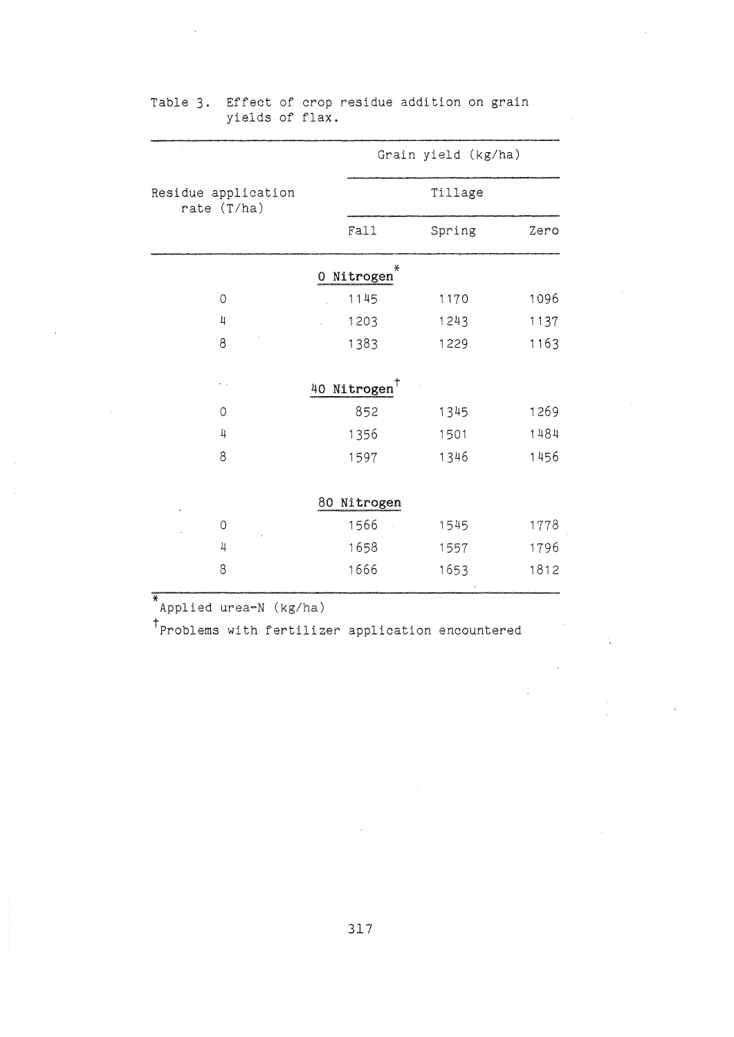|                                    |                              | Grain yield (kg/ha) |      |  |  |  |
|------------------------------------|------------------------------|---------------------|------|--|--|--|
| Residue application<br>rate (T/ha) |                              | Tillage             |      |  |  |  |
|                                    | Fall                         | Spring              | Zero |  |  |  |
|                                    | ⋇<br>Nitrogen<br>$\mathbf 0$ |                     |      |  |  |  |
| 0                                  | 1145                         | 1170                | 1096 |  |  |  |
| 4                                  | 1203                         | 1243                | 1137 |  |  |  |
| 8                                  | 1383                         | 1229                | 1163 |  |  |  |
|                                    |                              |                     |      |  |  |  |
|                                    | 40 Nitrogen <sup>T</sup>     |                     |      |  |  |  |
| 0                                  | 852                          | 1345                | 1269 |  |  |  |
| 4                                  | 1356                         | 1501                | 1484 |  |  |  |
| 8                                  | 1597                         | 1346                | 1456 |  |  |  |
|                                    |                              |                     |      |  |  |  |
|                                    | 80 Nitrogen                  |                     |      |  |  |  |
| 0                                  | 1566                         | 1545                | 1778 |  |  |  |
| 4                                  | 1658                         | 1557                | 1796 |  |  |  |
| 8                                  | 1666                         | 1653                | 1812 |  |  |  |
|                                    |                              |                     |      |  |  |  |

# Table 3. Effect of crop residue addition on grain yields of flax.

\* Applied urea-N (kg/ha)

 $^\dagger$  Problems with fertilizer application encountered